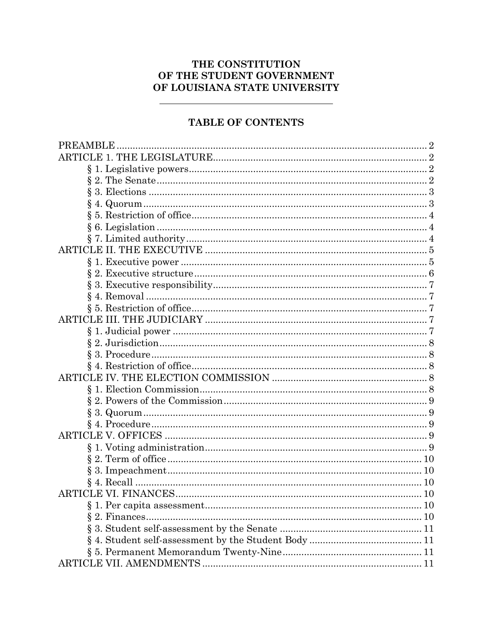# THE CONSTITUTION OF THE STUDENT GOVERNMENT OF LOUISIANA STATE UNIVERSITY

# TABLE OF CONTENTS

| <b>PREAMBLE</b> | $\overline{2}$ |
|-----------------|----------------|
|                 |                |
|                 |                |
|                 |                |
|                 |                |
|                 |                |
|                 |                |
|                 |                |
|                 |                |
|                 |                |
|                 |                |
|                 |                |
|                 |                |
|                 |                |
|                 |                |
|                 |                |
|                 |                |
|                 |                |
|                 |                |
|                 |                |
|                 |                |
|                 |                |
|                 |                |
|                 |                |
|                 |                |
|                 |                |
|                 |                |
|                 |                |
|                 |                |
|                 |                |
|                 |                |
|                 |                |
|                 |                |
|                 |                |
|                 |                |
|                 |                |
|                 |                |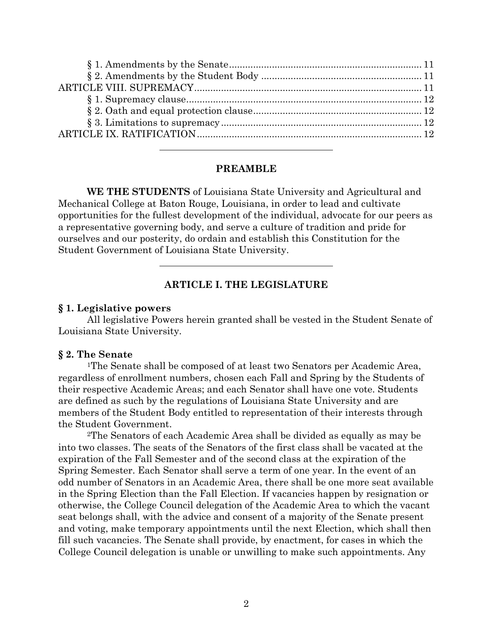### **PREAMBLE**

**WE THE STUDENTS** of Louisiana State University and Agricultural and Mechanical College at Baton Rouge, Louisiana, in order to lead and cultivate opportunities for the fullest development of the individual, advocate for our peers as a representative governing body, and serve a culture of tradition and pride for ourselves and our posterity, do ordain and establish this Constitution for the Student Government of Louisiana State University.

## **ARTICLE I. THE LEGISLATURE**

#### **§ 1. Legislative powers**

All legislative Powers herein granted shall be vested in the Student Senate of Louisiana State University.

#### **§ 2. The Senate**

1The Senate shall be composed of at least two Senators per Academic Area, regardless of enrollment numbers, chosen each Fall and Spring by the Students of their respective Academic Areas; and each Senator shall have one vote. Students are defined as such by the regulations of Louisiana State University and are members of the Student Body entitled to representation of their interests through the Student Government.

2The Senators of each Academic Area shall be divided as equally as may be into two classes. The seats of the Senators of the first class shall be vacated at the expiration of the Fall Semester and of the second class at the expiration of the Spring Semester. Each Senator shall serve a term of one year. In the event of an odd number of Senators in an Academic Area, there shall be one more seat available in the Spring Election than the Fall Election. If vacancies happen by resignation or otherwise, the College Council delegation of the Academic Area to which the vacant seat belongs shall, with the advice and consent of a majority of the Senate present and voting, make temporary appointments until the next Election, which shall then fill such vacancies. The Senate shall provide, by enactment, for cases in which the College Council delegation is unable or unwilling to make such appointments. Any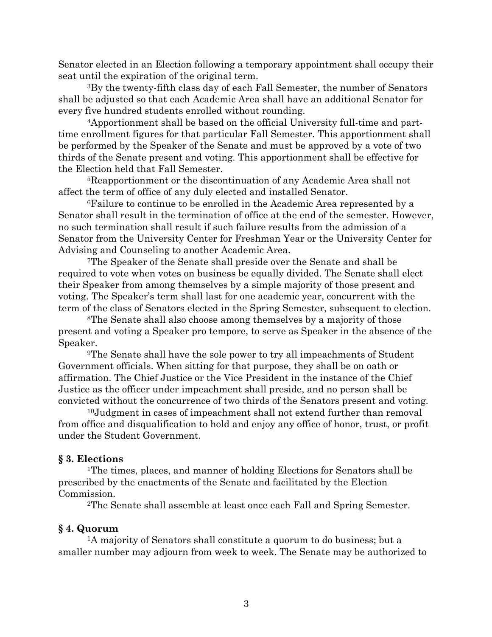Senator elected in an Election following a temporary appointment shall occupy their seat until the expiration of the original term.

3By the twenty-fifth class day of each Fall Semester, the number of Senators shall be adjusted so that each Academic Area shall have an additional Senator for every five hundred students enrolled without rounding.

4Apportionment shall be based on the official University full-time and parttime enrollment figures for that particular Fall Semester. This apportionment shall be performed by the Speaker of the Senate and must be approved by a vote of two thirds of the Senate present and voting. This apportionment shall be effective for the Election held that Fall Semester.

5Reapportionment or the discontinuation of any Academic Area shall not affect the term of office of any duly elected and installed Senator.

6Failure to continue to be enrolled in the Academic Area represented by a Senator shall result in the termination of office at the end of the semester. However, no such termination shall result if such failure results from the admission of a Senator from the University Center for Freshman Year or the University Center for Advising and Counseling to another Academic Area.

7The Speaker of the Senate shall preside over the Senate and shall be required to vote when votes on business be equally divided. The Senate shall elect their Speaker from among themselves by a simple majority of those present and voting. The Speaker's term shall last for one academic year, concurrent with the term of the class of Senators elected in the Spring Semester, subsequent to election.

8The Senate shall also choose among themselves by a majority of those present and voting a Speaker pro tempore, to serve as Speaker in the absence of the Speaker.

9The Senate shall have the sole power to try all impeachments of Student Government officials. When sitting for that purpose, they shall be on oath or affirmation. The Chief Justice or the Vice President in the instance of the Chief Justice as the officer under impeachment shall preside, and no person shall be convicted without the concurrence of two thirds of the Senators present and voting.

10Judgment in cases of impeachment shall not extend further than removal from office and disqualification to hold and enjoy any office of honor, trust, or profit under the Student Government.

### **§ 3. Elections**

1The times, places, and manner of holding Elections for Senators shall be prescribed by the enactments of the Senate and facilitated by the Election Commission.

2The Senate shall assemble at least once each Fall and Spring Semester.

#### **§ 4. Quorum**

1A majority of Senators shall constitute a quorum to do business; but a smaller number may adjourn from week to week. The Senate may be authorized to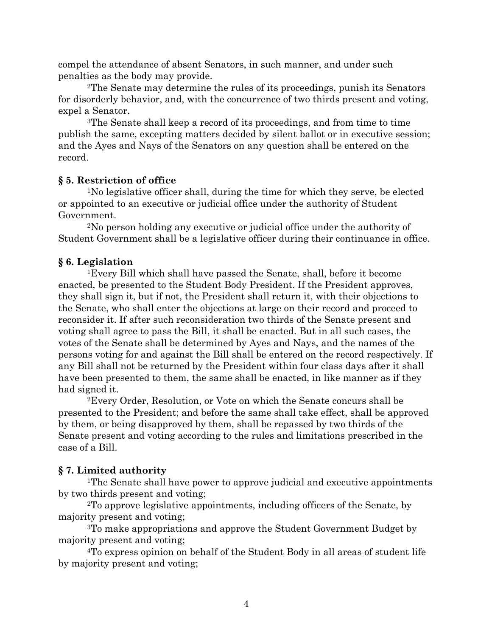compel the attendance of absent Senators, in such manner, and under such penalties as the body may provide.

2The Senate may determine the rules of its proceedings, punish its Senators for disorderly behavior, and, with the concurrence of two thirds present and voting, expel a Senator.

3The Senate shall keep a record of its proceedings, and from time to time publish the same, excepting matters decided by silent ballot or in executive session; and the Ayes and Nays of the Senators on any question shall be entered on the record.

## **§ 5. Restriction of office**

1No legislative officer shall, during the time for which they serve, be elected or appointed to an executive or judicial office under the authority of Student Government.

2No person holding any executive or judicial office under the authority of Student Government shall be a legislative officer during their continuance in office.

# **§ 6. Legislation**

1Every Bill which shall have passed the Senate, shall, before it become enacted, be presented to the Student Body President. If the President approves, they shall sign it, but if not, the President shall return it, with their objections to the Senate, who shall enter the objections at large on their record and proceed to reconsider it. If after such reconsideration two thirds of the Senate present and voting shall agree to pass the Bill, it shall be enacted. But in all such cases, the votes of the Senate shall be determined by Ayes and Nays, and the names of the persons voting for and against the Bill shall be entered on the record respectively. If any Bill shall not be returned by the President within four class days after it shall have been presented to them, the same shall be enacted, in like manner as if they had signed it.

2Every Order, Resolution, or Vote on which the Senate concurs shall be presented to the President; and before the same shall take effect, shall be approved by them, or being disapproved by them, shall be repassed by two thirds of the Senate present and voting according to the rules and limitations prescribed in the case of a Bill.

# **§ 7. Limited authority**

1The Senate shall have power to approve judicial and executive appointments by two thirds present and voting;

2To approve legislative appointments, including officers of the Senate, by majority present and voting;

3To make appropriations and approve the Student Government Budget by majority present and voting;

4To express opinion on behalf of the Student Body in all areas of student life by majority present and voting;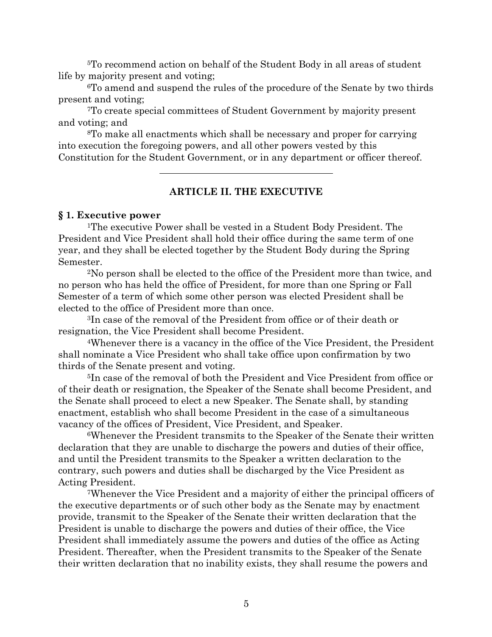5To recommend action on behalf of the Student Body in all areas of student life by majority present and voting;

6To amend and suspend the rules of the procedure of the Senate by two thirds present and voting;

7To create special committees of Student Government by majority present and voting; and

8To make all enactments which shall be necessary and proper for carrying into execution the foregoing powers, and all other powers vested by this Constitution for the Student Government, or in any department or officer thereof.

## **ARTICLE II. THE EXECUTIVE**

#### **§ 1. Executive power**

1The executive Power shall be vested in a Student Body President. The President and Vice President shall hold their office during the same term of one year, and they shall be elected together by the Student Body during the Spring Semester.

2No person shall be elected to the office of the President more than twice, and no person who has held the office of President, for more than one Spring or Fall Semester of a term of which some other person was elected President shall be elected to the office of President more than once.

3In case of the removal of the President from office or of their death or resignation, the Vice President shall become President.

4Whenever there is a vacancy in the office of the Vice President, the President shall nominate a Vice President who shall take office upon confirmation by two thirds of the Senate present and voting.

5In case of the removal of both the President and Vice President from office or of their death or resignation, the Speaker of the Senate shall become President, and the Senate shall proceed to elect a new Speaker. The Senate shall, by standing enactment, establish who shall become President in the case of a simultaneous vacancy of the offices of President, Vice President, and Speaker.

6Whenever the President transmits to the Speaker of the Senate their written declaration that they are unable to discharge the powers and duties of their office, and until the President transmits to the Speaker a written declaration to the contrary, such powers and duties shall be discharged by the Vice President as Acting President.

7Whenever the Vice President and a majority of either the principal officers of the executive departments or of such other body as the Senate may by enactment provide, transmit to the Speaker of the Senate their written declaration that the President is unable to discharge the powers and duties of their office, the Vice President shall immediately assume the powers and duties of the office as Acting President. Thereafter, when the President transmits to the Speaker of the Senate their written declaration that no inability exists, they shall resume the powers and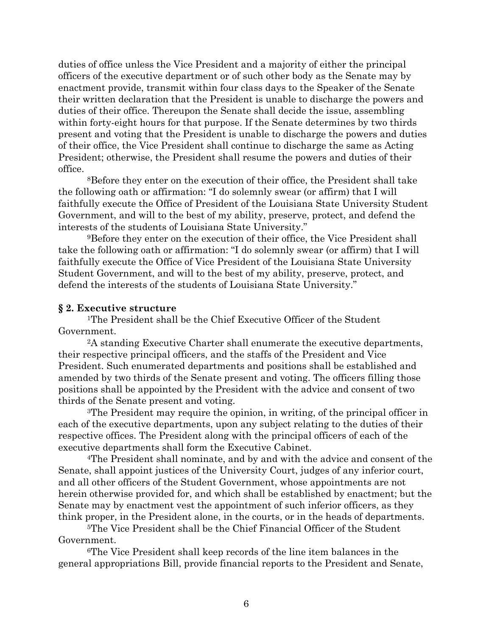duties of office unless the Vice President and a majority of either the principal officers of the executive department or of such other body as the Senate may by enactment provide, transmit within four class days to the Speaker of the Senate their written declaration that the President is unable to discharge the powers and duties of their office. Thereupon the Senate shall decide the issue, assembling within forty-eight hours for that purpose. If the Senate determines by two thirds present and voting that the President is unable to discharge the powers and duties of their office, the Vice President shall continue to discharge the same as Acting President; otherwise, the President shall resume the powers and duties of their office.

8Before they enter on the execution of their office, the President shall take the following oath or affirmation: "I do solemnly swear (or affirm) that I will faithfully execute the Office of President of the Louisiana State University Student Government, and will to the best of my ability, preserve, protect, and defend the interests of the students of Louisiana State University."

9Before they enter on the execution of their office, the Vice President shall take the following oath or affirmation: "I do solemnly swear (or affirm) that I will faithfully execute the Office of Vice President of the Louisiana State University Student Government, and will to the best of my ability, preserve, protect, and defend the interests of the students of Louisiana State University."

### **§ 2. Executive structure**

1The President shall be the Chief Executive Officer of the Student Government.

2A standing Executive Charter shall enumerate the executive departments, their respective principal officers, and the staffs of the President and Vice President. Such enumerated departments and positions shall be established and amended by two thirds of the Senate present and voting. The officers filling those positions shall be appointed by the President with the advice and consent of two thirds of the Senate present and voting.

3The President may require the opinion, in writing, of the principal officer in each of the executive departments, upon any subject relating to the duties of their respective offices. The President along with the principal officers of each of the executive departments shall form the Executive Cabinet.

4The President shall nominate, and by and with the advice and consent of the Senate, shall appoint justices of the University Court, judges of any inferior court, and all other officers of the Student Government, whose appointments are not herein otherwise provided for, and which shall be established by enactment; but the Senate may by enactment vest the appointment of such inferior officers, as they think proper, in the President alone, in the courts, or in the heads of departments.

5The Vice President shall be the Chief Financial Officer of the Student Government.

6The Vice President shall keep records of the line item balances in the general appropriations Bill, provide financial reports to the President and Senate,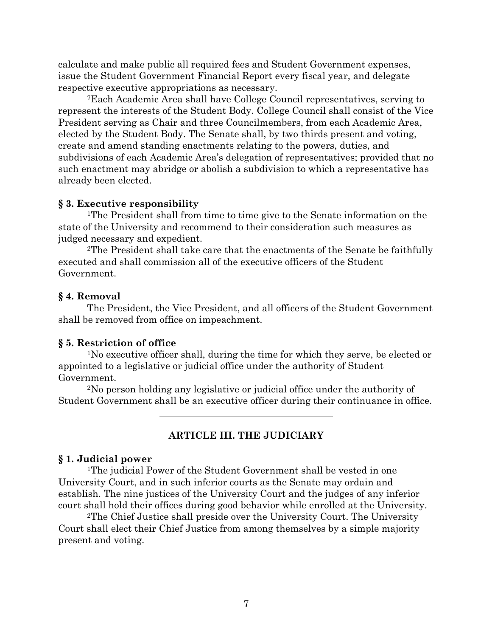calculate and make public all required fees and Student Government expenses, issue the Student Government Financial Report every fiscal year, and delegate respective executive appropriations as necessary.

7Each Academic Area shall have College Council representatives, serving to represent the interests of the Student Body. College Council shall consist of the Vice President serving as Chair and three Councilmembers, from each Academic Area, elected by the Student Body. The Senate shall, by two thirds present and voting, create and amend standing enactments relating to the powers, duties, and subdivisions of each Academic Area's delegation of representatives; provided that no such enactment may abridge or abolish a subdivision to which a representative has already been elected.

## **§ 3. Executive responsibility**

1The President shall from time to time give to the Senate information on the state of the University and recommend to their consideration such measures as judged necessary and expedient.

2The President shall take care that the enactments of the Senate be faithfully executed and shall commission all of the executive officers of the Student Government.

## **§ 4. Removal**

The President, the Vice President, and all officers of the Student Government shall be removed from office on impeachment.

## **§ 5. Restriction of office**

1No executive officer shall, during the time for which they serve, be elected or appointed to a legislative or judicial office under the authority of Student Government.

2No person holding any legislative or judicial office under the authority of Student Government shall be an executive officer during their continuance in office.

# **ARTICLE III. THE JUDICIARY**

### **§ 1. Judicial power**

<sup>1</sup>The judicial Power of the Student Government shall be vested in one University Court, and in such inferior courts as the Senate may ordain and establish. The nine justices of the University Court and the judges of any inferior court shall hold their offices during good behavior while enrolled at the University.

2The Chief Justice shall preside over the University Court. The University Court shall elect their Chief Justice from among themselves by a simple majority present and voting.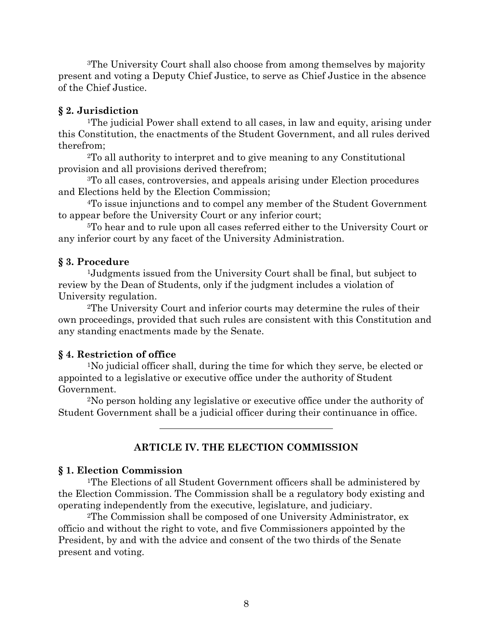3The University Court shall also choose from among themselves by majority present and voting a Deputy Chief Justice, to serve as Chief Justice in the absence of the Chief Justice.

### **§ 2. Jurisdiction**

1The judicial Power shall extend to all cases, in law and equity, arising under this Constitution, the enactments of the Student Government, and all rules derived therefrom;

2To all authority to interpret and to give meaning to any Constitutional provision and all provisions derived therefrom;

3To all cases, controversies, and appeals arising under Election procedures and Elections held by the Election Commission;

4To issue injunctions and to compel any member of the Student Government to appear before the University Court or any inferior court;

5To hear and to rule upon all cases referred either to the University Court or any inferior court by any facet of the University Administration.

## **§ 3. Procedure**

1Judgments issued from the University Court shall be final, but subject to review by the Dean of Students, only if the judgment includes a violation of University regulation.

2The University Court and inferior courts may determine the rules of their own proceedings, provided that such rules are consistent with this Constitution and any standing enactments made by the Senate.

## **§ 4. Restriction of office**

1No judicial officer shall, during the time for which they serve, be elected or appointed to a legislative or executive office under the authority of Student Government.

2No person holding any legislative or executive office under the authority of Student Government shall be a judicial officer during their continuance in office.

## **ARTICLE IV. THE ELECTION COMMISSION**

### **§ 1. Election Commission**

<sup>1</sup>The Elections of all Student Government officers shall be administered by the Election Commission. The Commission shall be a regulatory body existing and operating independently from the executive, legislature, and judiciary.

2The Commission shall be composed of one University Administrator, ex officio and without the right to vote, and five Commissioners appointed by the President, by and with the advice and consent of the two thirds of the Senate present and voting.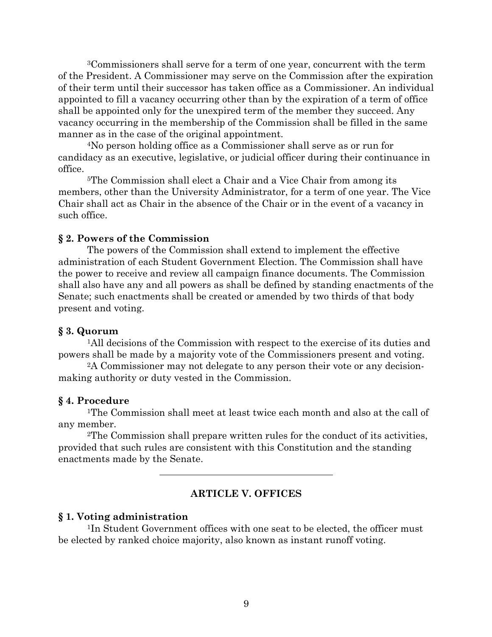3Commissioners shall serve for a term of one year, concurrent with the term of the President. A Commissioner may serve on the Commission after the expiration of their term until their successor has taken office as a Commissioner. An individual appointed to fill a vacancy occurring other than by the expiration of a term of office shall be appointed only for the unexpired term of the member they succeed. Any vacancy occurring in the membership of the Commission shall be filled in the same manner as in the case of the original appointment.

4No person holding office as a Commissioner shall serve as or run for candidacy as an executive, legislative, or judicial officer during their continuance in office.

5The Commission shall elect a Chair and a Vice Chair from among its members, other than the University Administrator, for a term of one year. The Vice Chair shall act as Chair in the absence of the Chair or in the event of a vacancy in such office.

### **§ 2. Powers of the Commission**

The powers of the Commission shall extend to implement the effective administration of each Student Government Election. The Commission shall have the power to receive and review all campaign finance documents. The Commission shall also have any and all powers as shall be defined by standing enactments of the Senate; such enactments shall be created or amended by two thirds of that body present and voting.

#### **§ 3. Quorum**

1All decisions of the Commission with respect to the exercise of its duties and powers shall be made by a majority vote of the Commissioners present and voting.

2A Commissioner may not delegate to any person their vote or any decisionmaking authority or duty vested in the Commission.

#### **§ 4. Procedure**

1The Commission shall meet at least twice each month and also at the call of any member.

2The Commission shall prepare written rules for the conduct of its activities, provided that such rules are consistent with this Constitution and the standing enactments made by the Senate.

### **ARTICLE V. OFFICES**

### **§ 1. Voting administration**

1In Student Government offices with one seat to be elected, the officer must be elected by ranked choice majority, also known as instant runoff voting.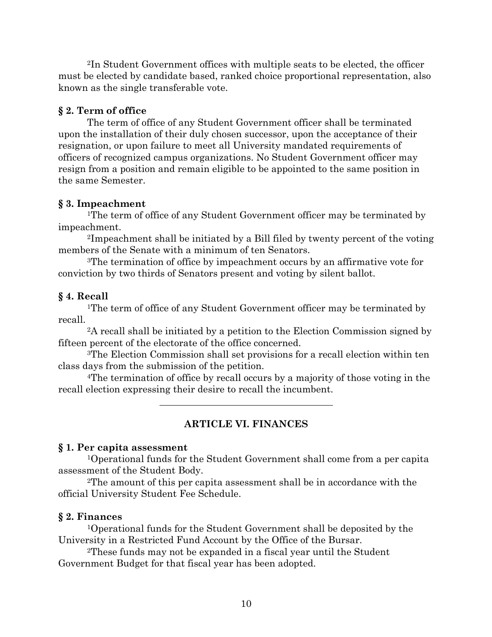2In Student Government offices with multiple seats to be elected, the officer must be elected by candidate based, ranked choice proportional representation, also known as the single transferable vote.

## **§ 2. Term of office**

The term of office of any Student Government officer shall be terminated upon the installation of their duly chosen successor, upon the acceptance of their resignation, or upon failure to meet all University mandated requirements of officers of recognized campus organizations. No Student Government officer may resign from a position and remain eligible to be appointed to the same position in the same Semester.

## **§ 3. Impeachment**

<sup>1</sup>The term of office of any Student Government officer may be terminated by impeachment.

2Impeachment shall be initiated by a Bill filed by twenty percent of the voting members of the Senate with a minimum of ten Senators.

3The termination of office by impeachment occurs by an affirmative vote for conviction by two thirds of Senators present and voting by silent ballot.

## **§ 4. Recall**

<sup>1</sup>The term of office of any Student Government officer may be terminated by recall.

2A recall shall be initiated by a petition to the Election Commission signed by fifteen percent of the electorate of the office concerned.

3The Election Commission shall set provisions for a recall election within ten class days from the submission of the petition.

4The termination of office by recall occurs by a majority of those voting in the recall election expressing their desire to recall the incumbent.

## **ARTICLE VI. FINANCES**

### **§ 1. Per capita assessment**

1Operational funds for the Student Government shall come from a per capita assessment of the Student Body.

2The amount of this per capita assessment shall be in accordance with the official University Student Fee Schedule.

## **§ 2. Finances**

1Operational funds for the Student Government shall be deposited by the University in a Restricted Fund Account by the Office of the Bursar.

2These funds may not be expanded in a fiscal year until the Student Government Budget for that fiscal year has been adopted.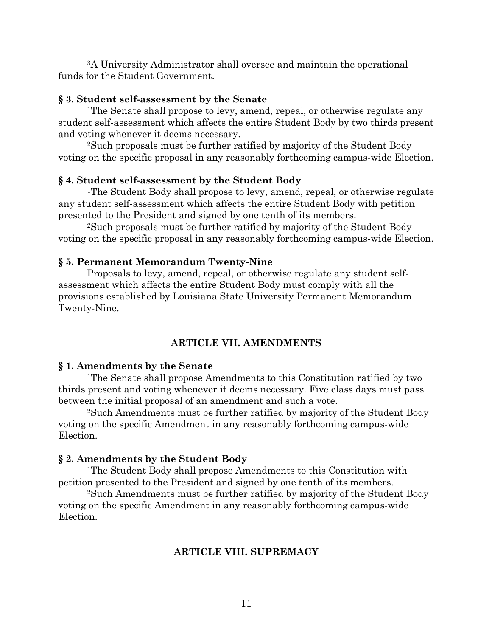3A University Administrator shall oversee and maintain the operational funds for the Student Government.

#### **§ 3. Student self-assessment by the Senate**

1The Senate shall propose to levy, amend, repeal, or otherwise regulate any student self-assessment which affects the entire Student Body by two thirds present and voting whenever it deems necessary.

2Such proposals must be further ratified by majority of the Student Body voting on the specific proposal in any reasonably forthcoming campus-wide Election.

#### **§ 4. Student self-assessment by the Student Body**

1The Student Body shall propose to levy, amend, repeal, or otherwise regulate any student self-assessment which affects the entire Student Body with petition presented to the President and signed by one tenth of its members.

2Such proposals must be further ratified by majority of the Student Body voting on the specific proposal in any reasonably forthcoming campus-wide Election.

### **§ 5. Permanent Memorandum Twenty-Nine**

Proposals to levy, amend, repeal, or otherwise regulate any student selfassessment which affects the entire Student Body must comply with all the provisions established by Louisiana State University Permanent Memorandum Twenty-Nine.

## **ARTICLE VII. AMENDMENTS**

#### **§ 1. Amendments by the Senate**

1The Senate shall propose Amendments to this Constitution ratified by two thirds present and voting whenever it deems necessary. Five class days must pass between the initial proposal of an amendment and such a vote.

2Such Amendments must be further ratified by majority of the Student Body voting on the specific Amendment in any reasonably forthcoming campus-wide Election.

#### **§ 2. Amendments by the Student Body**

1The Student Body shall propose Amendments to this Constitution with petition presented to the President and signed by one tenth of its members.

2Such Amendments must be further ratified by majority of the Student Body voting on the specific Amendment in any reasonably forthcoming campus-wide **Election** 

### **ARTICLE VIII. SUPREMACY**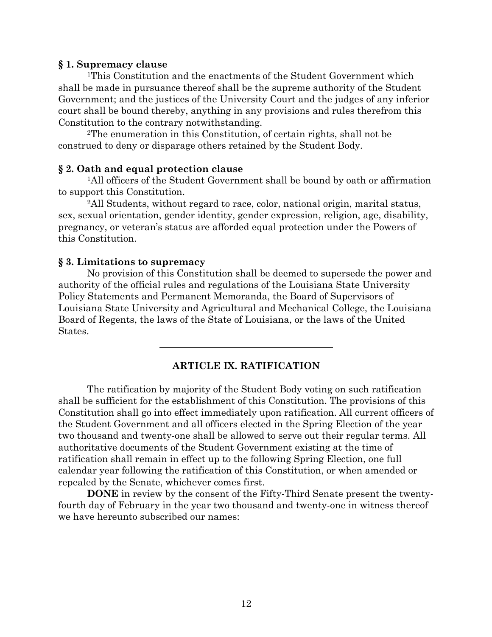### **§ 1. Supremacy clause**

1This Constitution and the enactments of the Student Government which shall be made in pursuance thereof shall be the supreme authority of the Student Government; and the justices of the University Court and the judges of any inferior court shall be bound thereby, anything in any provisions and rules therefrom this Constitution to the contrary notwithstanding.

2The enumeration in this Constitution, of certain rights, shall not be construed to deny or disparage others retained by the Student Body.

### **§ 2. Oath and equal protection clause**

1All officers of the Student Government shall be bound by oath or affirmation to support this Constitution.

2All Students, without regard to race, color, national origin, marital status, sex, sexual orientation, gender identity, gender expression, religion, age, disability, pregnancy, or veteran's status are afforded equal protection under the Powers of this Constitution.

### **§ 3. Limitations to supremacy**

No provision of this Constitution shall be deemed to supersede the power and authority of the official rules and regulations of the Louisiana State University Policy Statements and Permanent Memoranda, the Board of Supervisors of Louisiana State University and Agricultural and Mechanical College, the Louisiana Board of Regents, the laws of the State of Louisiana, or the laws of the United States.

## **ARTICLE IX. RATIFICATION**

The ratification by majority of the Student Body voting on such ratification shall be sufficient for the establishment of this Constitution. The provisions of this Constitution shall go into effect immediately upon ratification. All current officers of the Student Government and all officers elected in the Spring Election of the year two thousand and twenty-one shall be allowed to serve out their regular terms. All authoritative documents of the Student Government existing at the time of ratification shall remain in effect up to the following Spring Election, one full calendar year following the ratification of this Constitution, or when amended or repealed by the Senate, whichever comes first.

**DONE** in review by the consent of the Fifty-Third Senate present the twentyfourth day of February in the year two thousand and twenty-one in witness thereof we have hereunto subscribed our names: